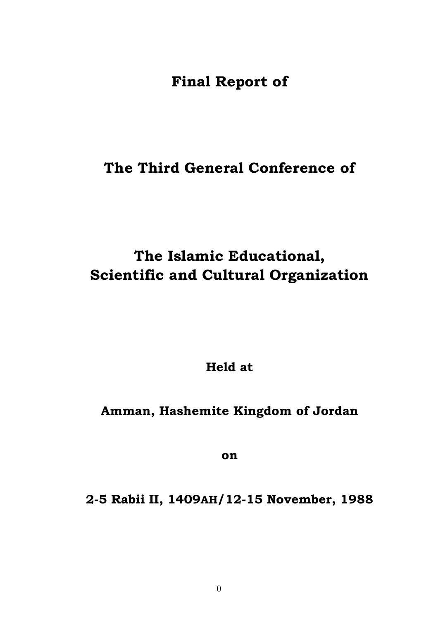**Final Report of** 

## **The Third General Conference of**

# **The Islamic Educational, Scientific and Cultural Organization**

**Held at** 

## **Amman, Hashemite Kingdom of Jordan**

**on**

## **2-5 Rabii II, 1409AH/12-15 November, 1988**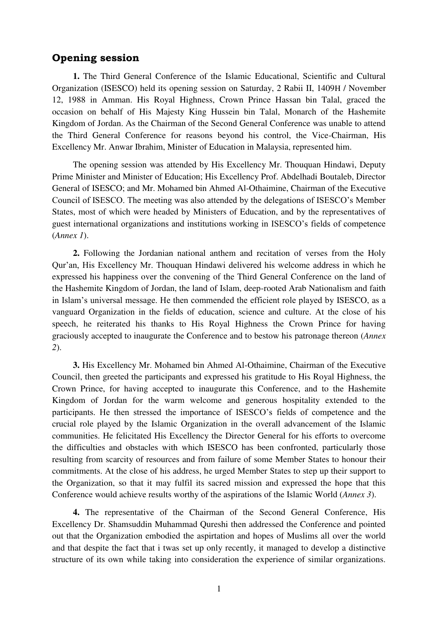### **Opening session**

**1.** The Third General Conference of the Islamic Educational, Scientific and Cultural Organization (ISESCO) held its opening session on Saturday, 2 Rabii II, 1409H / November 12, 1988 in Amman. His Royal Highness, Crown Prince Hassan bin Talal, graced the occasion on behalf of His Majesty King Hussein bin Talal, Monarch of the Hashemite Kingdom of Jordan. As the Chairman of the Second General Conference was unable to attend the Third General Conference for reasons beyond his control, the Vice-Chairman, His Excellency Mr. Anwar Ibrahim, Minister of Education in Malaysia, represented him.

The opening session was attended by His Excellency Mr. Thouquan Hindawi, Deputy Prime Minister and Minister of Education; His Excellency Prof. Abdelhadi Boutaleb, Director General of ISESCO; and Mr. Mohamed bin Ahmed Al-Othaimine, Chairman of the Executive Council of ISESCO. The meeting was also attended by the delegations of ISESCO's Member States, most of which were headed by Ministers of Education, and by the representatives of guest international organizations and institutions working in ISESCO's fields of competence (*Annex 1*).

**2.** Following the Jordanian national anthem and recitation of verses from the Holy Qur'an, His Excellency Mr. Thouquan Hindawi delivered his welcome address in which he expressed his happiness over the convening of the Third General Conference on the land of the Hashemite Kingdom of Jordan, the land of Islam, deep-rooted Arab Nationalism and faith in Islam's universal message. He then commended the efficient role played by ISESCO, as a vanguard Organization in the fields of education, science and culture. At the close of his speech, he reiterated his thanks to His Royal Highness the Crown Prince for having graciously accepted to inaugurate the Conference and to bestow his patronage thereon (*Annex 2*).

**3.** His Excellency Mr. Mohamed bin Ahmed Al-Othaimine, Chairman of the Executive Council, then greeted the participants and expressed his gratitude to His Royal Highness, the Crown Prince, for having accepted to inaugurate this Conference, and to the Hashemite Kingdom of Jordan for the warm welcome and generous hospitality extended to the participants. He then stressed the importance of ISESCO's fields of competence and the crucial role played by the Islamic Organization in the overall advancement of the Islamic communities. He felicitated His Excellency the Director General for his efforts to overcome the difficulties and obstacles with which ISESCO has been confronted, particularly those resulting from scarcity of resources and from failure of some Member States to honour their commitments. At the close of his address, he urged Member States to step up their support to the Organization, so that it may fulfil its sacred mission and expressed the hope that this Conference would achieve results worthy of the aspirations of the Islamic World (*Annex 3*).

**4.** The representative of the Chairman of the Second General Conference, His Excellency Dr. Shamsuddin Muhammad Qureshi then addressed the Conference and pointed out that the Organization embodied the aspirtation and hopes of Muslims all over the world and that despite the fact that i twas set up only recently, it managed to develop a distinctive structure of its own while taking into consideration the experience of similar organizations.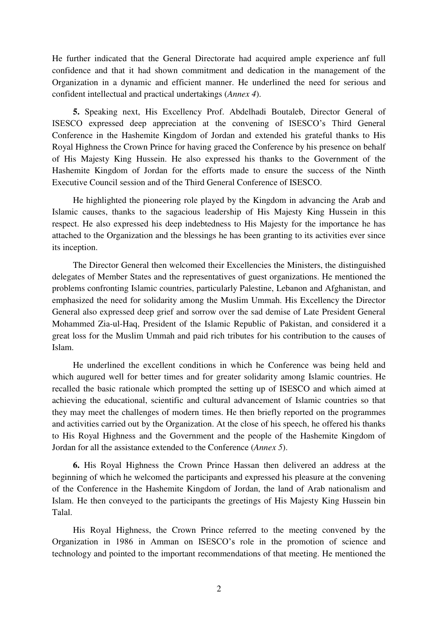He further indicated that the General Directorate had acquired ample experience anf full confidence and that it had shown commitment and dedication in the management of the Organization in a dynamic and efficient manner. He underlined the need for serious and confident intellectual and practical undertakings (*Annex 4*).

**5.** Speaking next, His Excellency Prof. Abdelhadi Boutaleb, Director General of ISESCO expressed deep appreciation at the convening of ISESCO's Third General Conference in the Hashemite Kingdom of Jordan and extended his grateful thanks to His Royal Highness the Crown Prince for having graced the Conference by his presence on behalf of His Majesty King Hussein. He also expressed his thanks to the Government of the Hashemite Kingdom of Jordan for the efforts made to ensure the success of the Ninth Executive Council session and of the Third General Conference of ISESCO.

He highlighted the pioneering role played by the Kingdom in advancing the Arab and Islamic causes, thanks to the sagacious leadership of His Majesty King Hussein in this respect. He also expressed his deep indebtedness to His Majesty for the importance he has attached to the Organization and the blessings he has been granting to its activities ever since its inception.

The Director General then welcomed their Excellencies the Ministers, the distinguished delegates of Member States and the representatives of guest organizations. He mentioned the problems confronting Islamic countries, particularly Palestine, Lebanon and Afghanistan, and emphasized the need for solidarity among the Muslim Ummah. His Excellency the Director General also expressed deep grief and sorrow over the sad demise of Late President General Mohammed Zia-ul-Haq, President of the Islamic Republic of Pakistan, and considered it a great loss for the Muslim Ummah and paid rich tributes for his contribution to the causes of Islam.

He underlined the excellent conditions in which he Conference was being held and which augured well for better times and for greater solidarity among Islamic countries. He recalled the basic rationale which prompted the setting up of ISESCO and which aimed at achieving the educational, scientific and cultural advancement of Islamic countries so that they may meet the challenges of modern times. He then briefly reported on the programmes and activities carried out by the Organization. At the close of his speech, he offered his thanks to His Royal Highness and the Government and the people of the Hashemite Kingdom of Jordan for all the assistance extended to the Conference (*Annex 5*).

**6.** His Royal Highness the Crown Prince Hassan then delivered an address at the beginning of which he welcomed the participants and expressed his pleasure at the convening of the Conference in the Hashemite Kingdom of Jordan, the land of Arab nationalism and Islam. He then conveyed to the participants the greetings of His Majesty King Hussein bin Talal.

His Royal Highness, the Crown Prince referred to the meeting convened by the Organization in 1986 in Amman on ISESCO's role in the promotion of science and technology and pointed to the important recommendations of that meeting. He mentioned the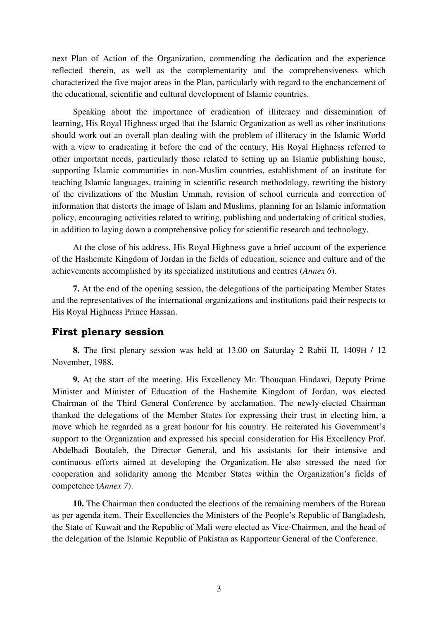next Plan of Action of the Organization, commending the dedication and the experience reflected therein, as well as the complementarity and the comprehensiveness which characterized the five major areas in the Plan, particularly with regard to the enchancement of the educational, scientific and cultural development of Islamic countries.

Speaking about the importance of eradication of illiteracy and dissemination of learning, His Royal Highness urged that the Islamic Organization as well as other institutions should work out an overall plan dealing with the problem of illiteracy in the Islamic World with a view to eradicating it before the end of the century. His Royal Highness referred to other important needs, particularly those related to setting up an Islamic publishing house, supporting Islamic communities in non-Muslim countries, establishment of an institute for teaching Islamic languages, training in scientific research methodology, rewriting the history of the civilizations of the Muslim Ummah, revision of school curricula and correction of information that distorts the image of Islam and Muslims, planning for an Islamic information policy, encouraging activities related to writing, publishing and undertaking of critical studies, in addition to laying down a comprehensive policy for scientific research and technology.

At the close of his address, His Royal Highness gave a brief account of the experience of the Hashemite Kingdom of Jordan in the fields of education, science and culture and of the achievements accomplished by its specialized institutions and centres (*Annex 6*).

**7.** At the end of the opening session, the delegations of the participating Member States and the representatives of the international organizations and institutions paid their respects to His Royal Highness Prince Hassan.

## **First plenary session**

**8.** The first plenary session was held at 13.00 on Saturday 2 Rabii II, 1409H / 12 November, 1988.

**9.** At the start of the meeting, His Excellency Mr. Thouquan Hindawi, Deputy Prime Minister and Minister of Education of the Hashemite Kingdom of Jordan, was elected Chairman of the Third General Conference by acclamation. The newly-elected Chairman thanked the delegations of the Member States for expressing their trust in electing him, a move which he regarded as a great honour for his country. He reiterated his Government's support to the Organization and expressed his special consideration for His Excellency Prof. Abdelhadi Boutaleb, the Director General, and his assistants for their intensive and continuous efforts aimed at developing the Organization. He also stressed the need for cooperation and solidarity among the Member States within the Organization's fields of competence (*Annex 7*).

**10.** The Chairman then conducted the elections of the remaining members of the Bureau as per agenda item. Their Excellencies the Ministers of the People's Republic of Bangladesh, the State of Kuwait and the Republic of Mali were elected as Vice-Chairmen, and the head of the delegation of the Islamic Republic of Pakistan as Rapporteur General of the Conference.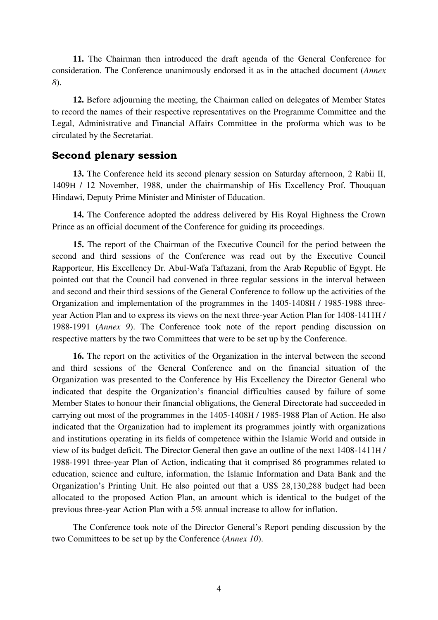**11.** The Chairman then introduced the draft agenda of the General Conference for consideration. The Conference unanimously endorsed it as in the attached document (*Annex 8*).

**12.** Before adjourning the meeting, the Chairman called on delegates of Member States to record the names of their respective representatives on the Programme Committee and the Legal, Administrative and Financial Affairs Committee in the proforma which was to be circulated by the Secretariat.

## **Second plenary session**

**13.** The Conference held its second plenary session on Saturday afternoon, 2 Rabii II, 1409H / 12 November, 1988, under the chairmanship of His Excellency Prof. Thouquan Hindawi, Deputy Prime Minister and Minister of Education.

**14.** The Conference adopted the address delivered by His Royal Highness the Crown Prince as an official document of the Conference for guiding its proceedings.

**15.** The report of the Chairman of the Executive Council for the period between the second and third sessions of the Conference was read out by the Executive Council Rapporteur, His Excellency Dr. Abul-Wafa Taftazani, from the Arab Republic of Egypt. He pointed out that the Council had convened in three regular sessions in the interval between and second and their third sessions of the General Conference to follow up the activities of the Organization and implementation of the programmes in the 1405-1408H / 1985-1988 threeyear Action Plan and to express its views on the next three-year Action Plan for 1408-1411H / 1988-1991 (*Annex 9*). The Conference took note of the report pending discussion on respective matters by the two Committees that were to be set up by the Conference.

**16.** The report on the activities of the Organization in the interval between the second and third sessions of the General Conference and on the financial situation of the Organization was presented to the Conference by His Excellency the Director General who indicated that despite the Organization's financial difficulties caused by failure of some Member States to honour their financial obligations, the General Directorate had succeeded in carrying out most of the programmes in the 1405-1408H / 1985-1988 Plan of Action. He also indicated that the Organization had to implement its programmes jointly with organizations and institutions operating in its fields of competence within the Islamic World and outside in view of its budget deficit. The Director General then gave an outline of the next 1408-1411H / 1988-1991 three-year Plan of Action, indicating that it comprised 86 programmes related to education, science and culture, information, the Islamic Information and Data Bank and the Organization's Printing Unit. He also pointed out that a US\$ 28,130,288 budget had been allocated to the proposed Action Plan, an amount which is identical to the budget of the previous three-year Action Plan with a 5% annual increase to allow for inflation.

The Conference took note of the Director General's Report pending discussion by the two Committees to be set up by the Conference (*Annex 10*).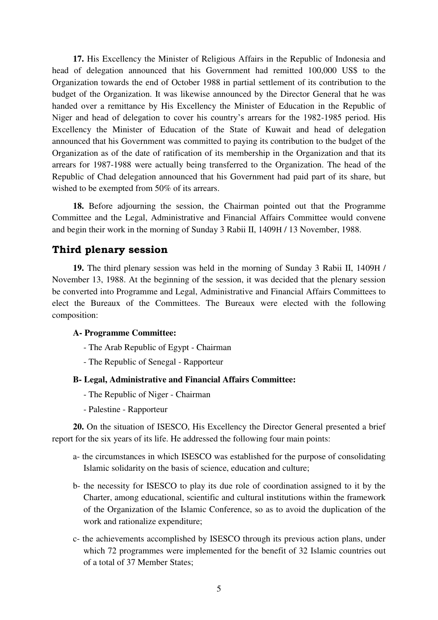**17.** His Excellency the Minister of Religious Affairs in the Republic of Indonesia and head of delegation announced that his Government had remitted 100,000 US\$ to the Organization towards the end of October 1988 in partial settlement of its contribution to the budget of the Organization. It was likewise announced by the Director General that he was handed over a remittance by His Excellency the Minister of Education in the Republic of Niger and head of delegation to cover his country's arrears for the 1982-1985 period. His Excellency the Minister of Education of the State of Kuwait and head of delegation announced that his Government was committed to paying its contribution to the budget of the Organization as of the date of ratification of its membership in the Organization and that its arrears for 1987-1988 were actually being transferred to the Organization. The head of the Republic of Chad delegation announced that his Government had paid part of its share, but wished to be exempted from 50% of its arrears.

**18.** Before adjourning the session, the Chairman pointed out that the Programme Committee and the Legal, Administrative and Financial Affairs Committee would convene and begin their work in the morning of Sunday 3 Rabii II, 1409H / 13 November, 1988.

## **Third plenary session**

**19.** The third plenary session was held in the morning of Sunday 3 Rabii II, 1409H / November 13, 1988. At the beginning of the session, it was decided that the plenary session be converted into Programme and Legal, Administrative and Financial Affairs Committees to elect the Bureaux of the Committees. The Bureaux were elected with the following composition:

#### **A- Programme Committee:**

- The Arab Republic of Egypt Chairman
- The Republic of Senegal Rapporteur

#### **B- Legal, Administrative and Financial Affairs Committee:**

- The Republic of Niger Chairman
- Palestine Rapporteur

**20.** On the situation of ISESCO, His Excellency the Director General presented a brief report for the six years of its life. He addressed the following four main points:

- a- the circumstances in which ISESCO was established for the purpose of consolidating Islamic solidarity on the basis of science, education and culture;
- b- the necessity for ISESCO to play its due role of coordination assigned to it by the Charter, among educational, scientific and cultural institutions within the framework of the Organization of the Islamic Conference, so as to avoid the duplication of the work and rationalize expenditure;
- c- the achievements accomplished by ISESCO through its previous action plans, under which 72 programmes were implemented for the benefit of 32 Islamic countries out of a total of 37 Member States;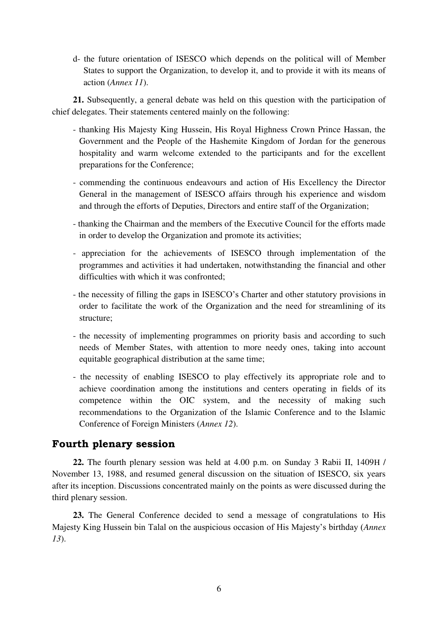d- the future orientation of ISESCO which depends on the political will of Member States to support the Organization, to develop it, and to provide it with its means of action (*Annex 11*).

**21.** Subsequently, a general debate was held on this question with the participation of chief delegates. Their statements centered mainly on the following:

- thanking His Majesty King Hussein, His Royal Highness Crown Prince Hassan, the Government and the People of the Hashemite Kingdom of Jordan for the generous hospitality and warm welcome extended to the participants and for the excellent preparations for the Conference;
- commending the continuous endeavours and action of His Excellency the Director General in the management of ISESCO affairs through his experience and wisdom and through the efforts of Deputies, Directors and entire staff of the Organization;
- thanking the Chairman and the members of the Executive Council for the efforts made in order to develop the Organization and promote its activities;
- appreciation for the achievements of ISESCO through implementation of the programmes and activities it had undertaken, notwithstanding the financial and other difficulties with which it was confronted;
- the necessity of filling the gaps in ISESCO's Charter and other statutory provisions in order to facilitate the work of the Organization and the need for streamlining of its structure;
- the necessity of implementing programmes on priority basis and according to such needs of Member States, with attention to more needy ones, taking into account equitable geographical distribution at the same time;
- the necessity of enabling ISESCO to play effectively its appropriate role and to achieve coordination among the institutions and centers operating in fields of its competence within the OIC system, and the necessity of making such recommendations to the Organization of the Islamic Conference and to the Islamic Conference of Foreign Ministers (*Annex 12*).

## **Fourth plenary session**

**22.** The fourth plenary session was held at 4.00 p.m. on Sunday 3 Rabii II, 1409H / November 13, 1988, and resumed general discussion on the situation of ISESCO, six years after its inception. Discussions concentrated mainly on the points as were discussed during the third plenary session.

**23.** The General Conference decided to send a message of congratulations to His Majesty King Hussein bin Talal on the auspicious occasion of His Majesty's birthday (*Annex 13*).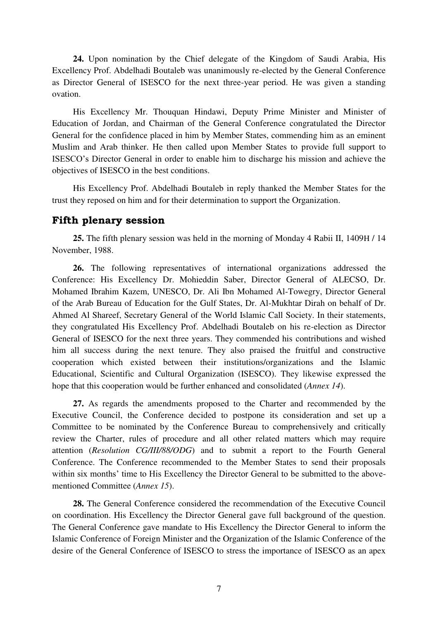**24.** Upon nomination by the Chief delegate of the Kingdom of Saudi Arabia, His Excellency Prof. Abdelhadi Boutaleb was unanimously re-elected by the General Conference as Director General of ISESCO for the next three-year period. He was given a standing ovation.

His Excellency Mr. Thouquan Hindawi, Deputy Prime Minister and Minister of Education of Jordan, and Chairman of the General Conference congratulated the Director General for the confidence placed in him by Member States, commending him as an eminent Muslim and Arab thinker. He then called upon Member States to provide full support to ISESCO's Director General in order to enable him to discharge his mission and achieve the objectives of ISESCO in the best conditions.

His Excellency Prof. Abdelhadi Boutaleb in reply thanked the Member States for the trust they reposed on him and for their determination to support the Organization.

## **Fifth plenary session**

**25.** The fifth plenary session was held in the morning of Monday 4 Rabii II, 1409H / 14 November, 1988.

**26.** The following representatives of international organizations addressed the Conference: His Excellency Dr. Mohieddin Saber, Director General of ALECSO, Dr. Mohamed Ibrahim Kazem, UNESCO, Dr. Ali Ibn Mohamed Al-Towegry, Director General of the Arab Bureau of Education for the Gulf States, Dr. Al-Mukhtar Dirah on behalf of Dr. Ahmed Al Shareef, Secretary General of the World Islamic Call Society. In their statements, they congratulated His Excellency Prof. Abdelhadi Boutaleb on his re-election as Director General of ISESCO for the next three years. They commended his contributions and wished him all success during the next tenure. They also praised the fruitful and constructive cooperation which existed between their institutions/organizations and the Islamic Educational, Scientific and Cultural Organization (ISESCO). They likewise expressed the hope that this cooperation would be further enhanced and consolidated (*Annex 14*).

**27.** As regards the amendments proposed to the Charter and recommended by the Executive Council, the Conference decided to postpone its consideration and set up a Committee to be nominated by the Conference Bureau to comprehensively and critically review the Charter, rules of procedure and all other related matters which may require attention (*Resolution CG/III/88/ODG*) and to submit a report to the Fourth General Conference. The Conference recommended to the Member States to send their proposals within six months' time to His Excellency the Director General to be submitted to the abovementioned Committee (*Annex 15*).

**28.** The General Conference considered the recommendation of the Executive Council on coordination. His Excellency the Director General gave full background of the question. The General Conference gave mandate to His Excellency the Director General to inform the Islamic Conference of Foreign Minister and the Organization of the Islamic Conference of the desire of the General Conference of ISESCO to stress the importance of ISESCO as an apex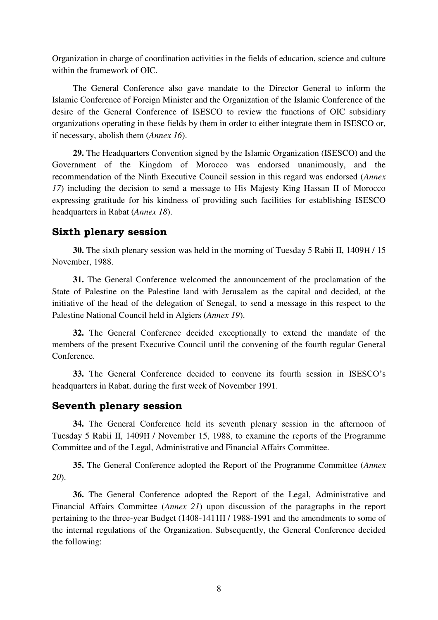Organization in charge of coordination activities in the fields of education, science and culture within the framework of OIC.

The General Conference also gave mandate to the Director General to inform the Islamic Conference of Foreign Minister and the Organization of the Islamic Conference of the desire of the General Conference of ISESCO to review the functions of OIC subsidiary organizations operating in these fields by them in order to either integrate them in ISESCO or, if necessary, abolish them (*Annex 16*).

**29.** The Headquarters Convention signed by the Islamic Organization (ISESCO) and the Government of the Kingdom of Morocco was endorsed unanimously, and the recommendation of the Ninth Executive Council session in this regard was endorsed (*Annex 17*) including the decision to send a message to His Majesty King Hassan II of Morocco expressing gratitude for his kindness of providing such facilities for establishing ISESCO headquarters in Rabat (*Annex 18*).

## **Sixth plenary session**

**30.** The sixth plenary session was held in the morning of Tuesday 5 Rabii II, 1409H / 15 November, 1988.

**31.** The General Conference welcomed the announcement of the proclamation of the State of Palestine on the Palestine land with Jerusalem as the capital and decided, at the initiative of the head of the delegation of Senegal, to send a message in this respect to the Palestine National Council held in Algiers (*Annex 19*).

**32.** The General Conference decided exceptionally to extend the mandate of the members of the present Executive Council until the convening of the fourth regular General Conference.

**33.** The General Conference decided to convene its fourth session in ISESCO's headquarters in Rabat, during the first week of November 1991.

#### **Seventh plenary session**

**34.** The General Conference held its seventh plenary session in the afternoon of Tuesday 5 Rabii II, 1409H / November 15, 1988, to examine the reports of the Programme Committee and of the Legal, Administrative and Financial Affairs Committee.

**35.** The General Conference adopted the Report of the Programme Committee (*Annex 20*).

**36.** The General Conference adopted the Report of the Legal, Administrative and Financial Affairs Committee (*Annex 21*) upon discussion of the paragraphs in the report pertaining to the three-year Budget (1408-1411H / 1988-1991 and the amendments to some of the internal regulations of the Organization. Subsequently, the General Conference decided the following: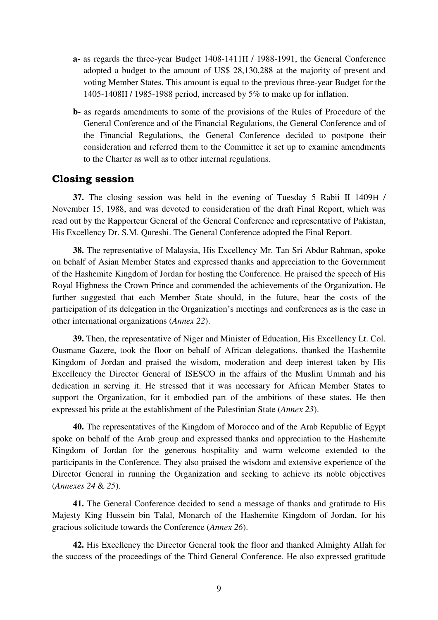- **a-** as regards the three-year Budget 1408-1411H / 1988-1991, the General Conference adopted a budget to the amount of US\$ 28,130,288 at the majority of present and voting Member States. This amount is equal to the previous three-year Budget for the 1405-1408H / 1985-1988 period, increased by 5% to make up for inflation.
- **b-** as regards amendments to some of the provisions of the Rules of Procedure of the General Conference and of the Financial Regulations, the General Conference and of the Financial Regulations, the General Conference decided to postpone their consideration and referred them to the Committee it set up to examine amendments to the Charter as well as to other internal regulations.

## **Closing session**

**37.** The closing session was held in the evening of Tuesday 5 Rabii II 1409H / November 15, 1988, and was devoted to consideration of the draft Final Report, which was read out by the Rapporteur General of the General Conference and representative of Pakistan, His Excellency Dr. S.M. Qureshi. The General Conference adopted the Final Report.

**38.** The representative of Malaysia, His Excellency Mr. Tan Sri Abdur Rahman, spoke on behalf of Asian Member States and expressed thanks and appreciation to the Government of the Hashemite Kingdom of Jordan for hosting the Conference. He praised the speech of His Royal Highness the Crown Prince and commended the achievements of the Organization. He further suggested that each Member State should, in the future, bear the costs of the participation of its delegation in the Organization's meetings and conferences as is the case in other international organizations (*Annex 22*).

**39.** Then, the representative of Niger and Minister of Education, His Excellency Lt. Col. Ousmane Gazere, took the floor on behalf of African delegations, thanked the Hashemite Kingdom of Jordan and praised the wisdom, moderation and deep interest taken by His Excellency the Director General of ISESCO in the affairs of the Muslim Ummah and his dedication in serving it. He stressed that it was necessary for African Member States to support the Organization, for it embodied part of the ambitions of these states. He then expressed his pride at the establishment of the Palestinian State (*Annex 23*).

**40.** The representatives of the Kingdom of Morocco and of the Arab Republic of Egypt spoke on behalf of the Arab group and expressed thanks and appreciation to the Hashemite Kingdom of Jordan for the generous hospitality and warm welcome extended to the participants in the Conference. They also praised the wisdom and extensive experience of the Director General in running the Organization and seeking to achieve its noble objectives (*Annexes 24* & *25*).

**41.** The General Conference decided to send a message of thanks and gratitude to His Majesty King Hussein bin Talal, Monarch of the Hashemite Kingdom of Jordan, for his gracious solicitude towards the Conference (*Annex 26*).

**42.** His Excellency the Director General took the floor and thanked Almighty Allah for the success of the proceedings of the Third General Conference. He also expressed gratitude